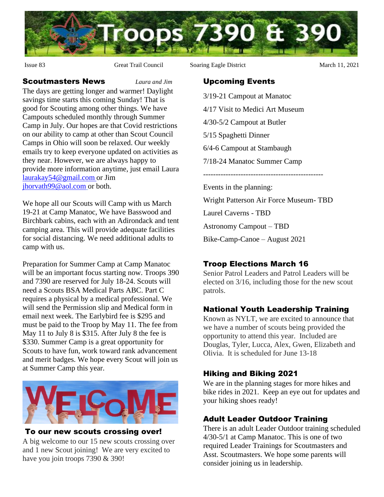

Issue 83 Great Trail Council Soaring Eagle District March 11, 2021

## Upcoming Events

- 3/19-21 Campout at Manatoc
- 4/17 Visit to Medici Art Museum
- 4/30-5/2 Campout at Butler
- 5/15 Spaghetti Dinner
- 6/4-6 Campout at Stambaugh
- 7/18-24 Manatoc Summer Camp

------------------------------------------------

Events in the planning:

Wright Patterson Air Force Museum- TBD Laurel Caverns - TBD Astronomy Campout – TBD Bike-Camp-Canoe – August 2021

# Troop Elections March 16

Senior Patrol Leaders and Patrol Leaders will be elected on 3/16, including those for the new scout patrols.

# National Youth Leadership Training

Known as NYLT, we are excited to announce that we have a number of scouts being provided the opportunity to attend this year. Included are Douglas, Tyler, Lucca, Alex, Gwen, Elizabeth and Olivia. It is scheduled for June 13-18

# Hiking and Biking 2021

We are in the planning stages for more hikes and bike rides in 2021. Keep an eye out for updates and your hiking shoes ready!

# Adult Leader Outdoor Training

There is an adult Leader Outdoor training scheduled 4/30-5/1 at Camp Manatoc. This is one of two required Leader Trainings for Scoutmasters and Asst. Scoutmasters. We hope some parents will consider joining us in leadership.

Scoutmasters News *Laura and Jim* The days are getting longer and warmer! Daylight savings time starts this coming Sunday! That is good for Scouting among other things. We have Campouts scheduled monthly through Summer Camp in July. Our hopes are that Covid restrictions on our ability to camp at other than Scout Council Camps in Ohio will soon be relaxed. Our weekly emails try to keep everyone updated on activities as they near. However, we are always happy to provide more information anytime, just email Laura [laurakay54@gmail.com](mailto:laurakay54@gmail.com) or Jim [jhorvath99@aol.com](mailto:jhorvath99@aol.com) or both.

We hope all our Scouts will Camp with us March 19-21 at Camp Manatoc, We have Basswood and Birchbark cabins, each with an Adirondack and tent camping area. This will provide adequate facilities for social distancing. We need additional adults to camp with us.

Preparation for Summer Camp at Camp Manatoc will be an important focus starting now. Troops 390 and 7390 are reserved for July 18-24. Scouts will need a Scouts BSA Medical Parts ABC. Part C requires a physical by a medical professional. We will send the Permission slip and Medical form in email next week. The Earlybird fee is \$295 and must be paid to the Troop by May 11. The fee from May 11 to July 8 is \$315. After July 8 the fee is \$330. Summer Camp is a great opportunity for Scouts to have fun, work toward rank advancement and merit badges. We hope every Scout will join us at Summer Camp this year.



#### To our new scouts crossing over!

A big welcome to our 15 new scouts crossing over and 1 new Scout joining! We are very excited to have you join troops 7390 & 390!